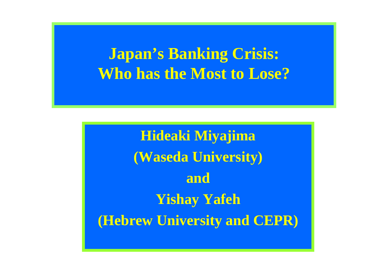### **Japan's Banking Crisis: Who has the Most to Lose?**

**Hideaki Miyajima (Waseda University) andYishay Yafeh (Hebrew University and CEPR)**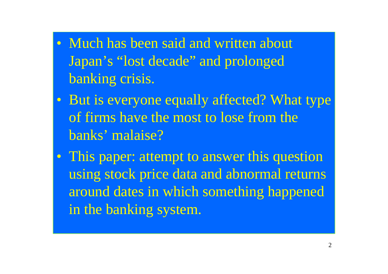- Much has been said and written about Japan's "lost decade" and prolonged banking crisis.
- But is everyone equally affected? What type of firms have the most to lose from the banks' malaise?
- This paper: attempt to answer this question using stock price data and abnormal returns around dates in which something happened in the banking system.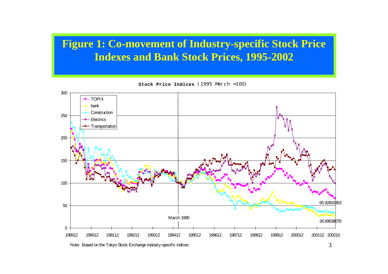#### **Figure 1: Co-movement of Industry-specific Stock Price Indexes and Bank Stock Prices, 1995-2002**

**Stock PriceIndice<sup>s</sup>** ( 1995 Ma r c h =1 0 0 )



N ote: B ased on the T okyo Stock E xchange industry-specific indices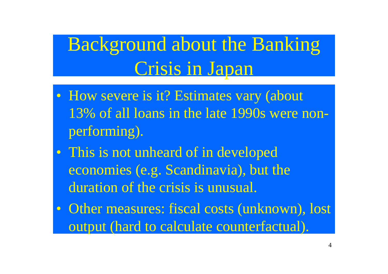Background about the Banking Crisis in Japan

- How severe is it? Estimates vary (about 13% of all loans in the late 1990s were nonperforming).
- This is not unheard of in developed economies (e.g. Scandinavia), but the duration of the crisis is unusual.
- Other measures: fiscal costs (unknown), lost output (hard to calculate counterfactual).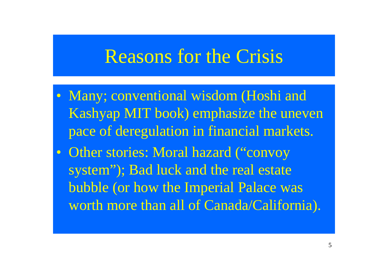## Reasons for the Crisis

- Many; conventional wisdom (Hoshi and Kashyap MIT book) emphasize the uneven pace of deregulation in financial markets.
- Other stories: Moral hazard ("convoy" system"); Bad luck and the real estate bubble (or how the Imperial Palace was worth more than all of Canada/California).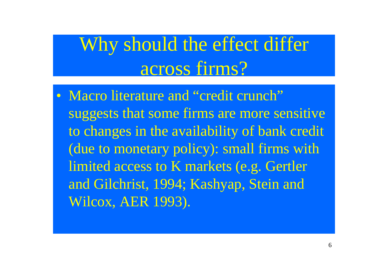# Why should the effect differ across firms?

• Macro literature and "credit crunch" suggests that some firms are more sensitive to changes in the availability of bank credit (due to monetary policy): small firms with limited access to K markets (e.g. Gertler and Gilchrist, 1994; Kashyap, Stein and Wilcox, AER 1993).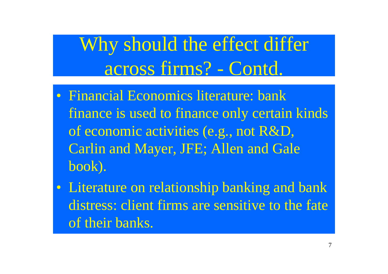Why should the effect differ across firms? - Contd.

- Financial Economics literature: bank finance is used to finance only certain kinds of economic activities (e.g., not R&D, Carlin and Mayer, JFE; Allen and Gale book).
- Literature on relationship banking and bank distress: client firms are sensitive to the fate of their banks.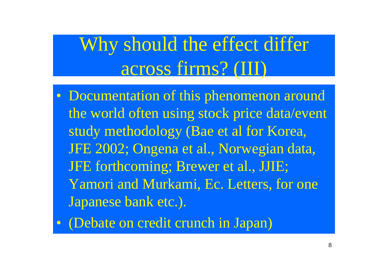# Why should the effect differ across firms? (III)

- Documentation of this phenomenon around the world often using stock price data/event study methodology (Bae et al for Korea, JFE 2002; Ongena et al., Norwegian data, JFE forthcoming; Brewer et al., JJIE; Yamori and Murkami, Ec. Letters, for one Japanese bank etc.).
- (Debate on credit crunch in Japan)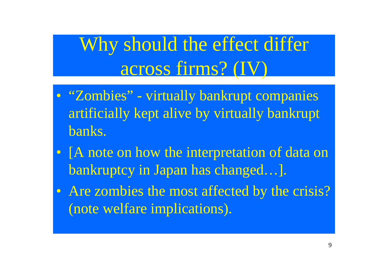Why should the effect differ across firms? (IV)

- "Zombies" virtually bankrupt companies artificially kept alive by virtually bankrupt banks.
- [A note on how the interpretation of data on bankruptcy in Japan has changed…].
- Are zombies the most affected by the crisis? (note welfare implications).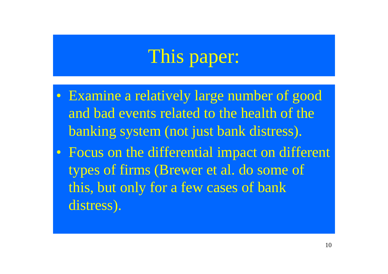# This paper:

- Examine a relatively large number of good and bad events related to the health of the banking system (not just bank distress).
- Focus on the differential impact on different types of firms (Brewer et al. do some of this, but only for a few cases of bank distress).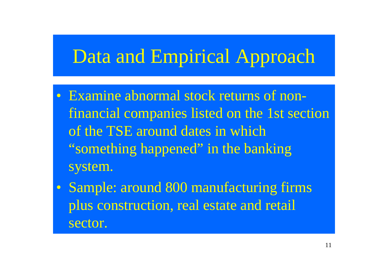# Data and Empirical Approach

- •Examine abnormal stock returns of nonfinancial companies listed on the 1st section of the TSE around dates in which "something happened" in the banking system.
- $\bullet$ Sample: around 800 manufacturing firms plus construction, real estate and retail sector.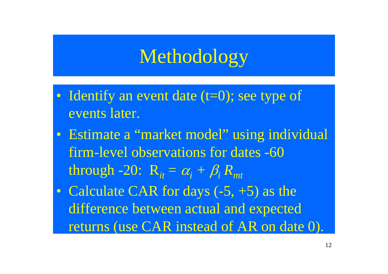# Methodology

- Identify an event date (t=0); see type of events later.
- Estimate a "market model" using individual firm-level observations for dates -60 through -20:  $R^{}_{it} = \alpha^{}_{i} + \beta^{}_{i} R^{}_{mt}$
- Calculate CAR for days (-5, +5) as the difference between actual and expected returns (use CAR instead of AR on date 0).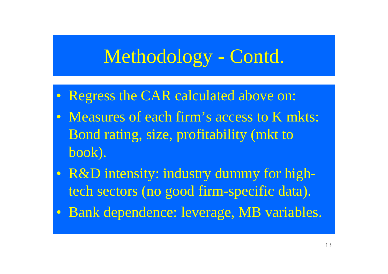# Methodology - Contd.

- Regress the CAR calculated above on:
- Measures of each firm's access to K mkts: Bond rating, size, profitability (mkt to book).
- R&D intensity: industry dummy for hightech sectors (no good firm-specific data).
- Bank dependence: leverage, MB variables.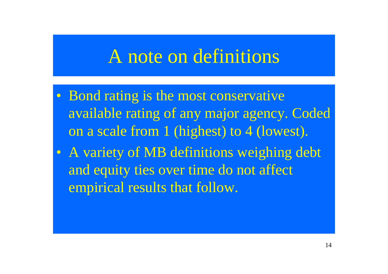## A note on definitions

- Bond rating is the most conservative available rating of any major agency. Coded on a scale from 1 (highest) to 4 (lowest).
- A variety of MB definitions weighing debt and equity ties over time do not affect empirical results that follow.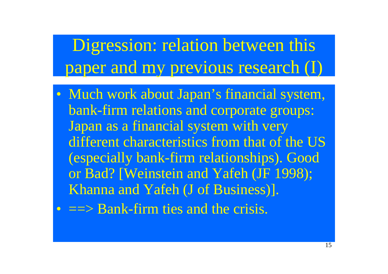# Digression: relation between this paper and my previous research (I)

- Much work about Japan's financial system, bank-firm relations and corporate groups: Japan as a financial system with very different characteristics from that of the US (especially bank-firm relationships). Good or Bad? [Weinstein and Yafeh (JF 1998); Khanna and Yafeh (J of Business)].
- $\bullet$  ==> Bank-firm ties and the crisis.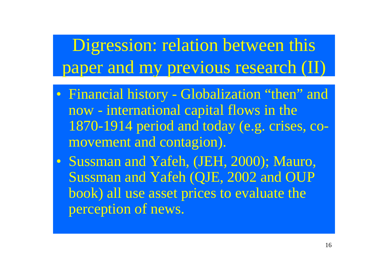Digression: relation between this paper and my previous research (II)

- Financial history Globalization "then" and now - international capital flows in the 1870-1914 period and today (e.g. crises, comovement and contagion).
- Sussman and Yafeh, (JEH, 2000); Mauro, Sussman and Yafeh (QJE, 2002 and OUP book) all use asset prices to evaluate the perception of news.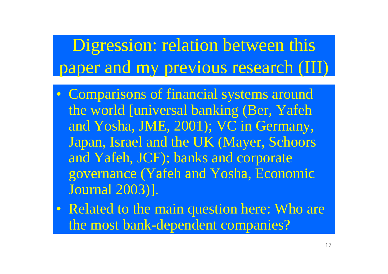# Digression: relation between this paper and my previous research (III)

- Comparisons of financial systems around the world [universal banking (Ber, Yafeh and Yosha, JME, 2001); VC in Germany, Japan, Israel and the UK (Mayer, Schoors and Yafeh, JCF); banks and corporate governance (Yafeh and Yosha, Economic Journal 2003)].
- Related to the main question here: Who are the most bank-dependent companies?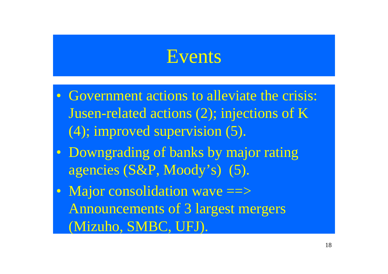## Events

- Government actions to alleviate the crisis: Jusen-related actions (2); injections of K (4); improved supervision (5).
- Downgrading of banks by major rating agencies (S&P, Moody's) (5).
- Major consolidation wave ==> Announcements of 3 largest mergers (Mizuho, SMBC, UFJ).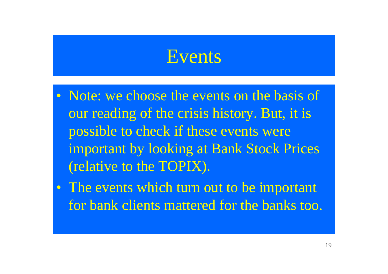### Events

- Note: we choose the events on the basis of our reading of the crisis history. But, it is possible to check if these events were important by looking at Bank Stock Prices (relative to the TOPIX).
- The events which turn out to be important for bank clients mattered for the banks too.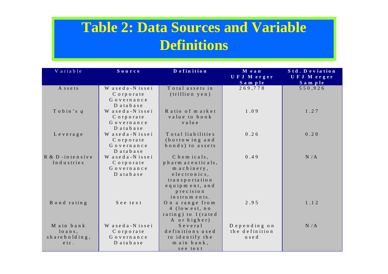### **Table 2: Data Sources and Variable Definitions**

| Variable            | Source          | Definition                        | M ean          | Std. Deviation |
|---------------------|-----------------|-----------------------------------|----------------|----------------|
|                     |                 |                                   | UFJ Merger     | UFJ Merger     |
|                     |                 |                                   | Sample         | Sample         |
| A ssets             | W aseda-N issei | Total assets in                   | 269,778        | 550,926        |
|                     | Corporate       | $(\text{trillion} \, \text{yen})$ |                |                |
|                     | Governance      |                                   |                |                |
|                     | $D$ atabase     |                                   |                |                |
| Tobin's $q$         | W aseda-N issei | Ratio of market                   | 1.09           | 1.27           |
|                     | Corporate       | value to book                     |                |                |
|                     | Governance      | value                             |                |                |
|                     | $D$ atabase     |                                   |                |                |
| Leverage            | W aseda-N issei | Total liabilities                 | 0.26           | 0.20           |
|                     | Corporate       | (borrowing and                    |                |                |
|                     | Governance      | bonds) to assets                  |                |                |
|                     | Database        |                                   |                |                |
| $R \& D$ -intensive | W aseda-N issei | Chemicals,                        | 0.49           | N/A            |
| Industries          | Corporate       | pharm aceuticals,                 |                |                |
|                     | Governance      | m achinery,                       |                |                |
|                     | Database        | electronics,                      |                |                |
|                     |                 | transportation                    |                |                |
|                     |                 | equipment, and                    |                |                |
|                     |                 | precision                         |                |                |
|                     |                 | instruments.                      |                |                |
| Bond rating         | See text        | On a range from                   | 2.95           | 1.12           |
|                     |                 | $4$ (lowest, no                   |                |                |
|                     |                 | rating) to 1 (rated               |                |                |
|                     |                 | A or higher)                      |                |                |
| M ain bank          | W aseda-N issei | Several                           | $Depending$ on | N/A            |
| $\log$ ans,         | Corporate       | definitions used                  | the definition |                |
| shareholding,       | Governance      | to identify the                   | used           |                |
| etc.                | Database        | main bank,                        |                |                |
|                     |                 | see text                          |                |                |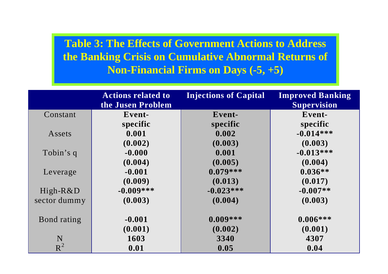#### **Table 3: The Effects of Government Actions to Address the Banking Crisis on Cumulative Abnormal Returns of Non-Financial Firms on Days (-5, +5)**

|              | <b>Actions related to</b> | <b>Injections of Capital</b> | <b>Improved Banking</b> |
|--------------|---------------------------|------------------------------|-------------------------|
|              | the Jusen Problem         |                              | <b>Supervision</b>      |
| Constant     | Event-                    | Event-                       | Event-                  |
|              | specific                  | specific                     | specific                |
| Assets       | 0.001                     | 0.002                        | $-0.014***$             |
|              | (0.002)                   | (0.003)                      | (0.003)                 |
| Tobin's q    | $-0.000$                  | 0.001                        | $-0.013***$             |
|              | (0.004)                   | (0.005)                      | (0.004)                 |
| Leverage     | $-0.001$                  | $0.079***$                   | $0.036**$               |
|              | (0.009)                   | (0.013)                      | (0.017)                 |
| High-R&D     | $-0.009***$               | $-0.023***$                  | $-0.007**$              |
| sector dummy | (0.003)                   | (0.004)                      | (0.003)                 |
| Bond rating  | $-0.001$                  | $0.009***$                   | $0.006***$              |
|              | (0.001)                   | (0.002)                      | (0.001)                 |
| N            | 1603                      | 3340                         | 4307                    |
| $R^2$        | 0.01                      | 0.05                         | 0.04                    |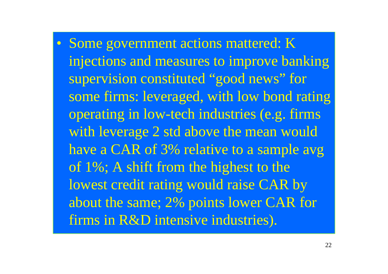• Some government actions mattered: K injections and measures to improve banking supervision constituted "good news" for some firms: leveraged, with low bond rating operating in low-tech industries (e.g. firms with leverage 2 std above the mean would have a CAR of 3% relative to a sample avg of 1%; A shift from the highest to the lowest credit rating would raise CAR by about the same; 2% points lower CAR for firms in R&D intensive industries).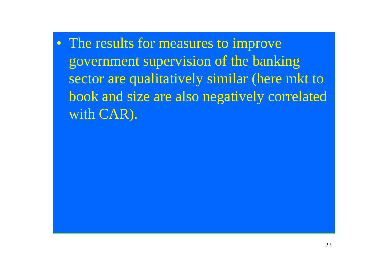• The results for measures to improve government supervision of the banking sector are qualitatively similar (here mkt to book and size are also negatively correlated with CAR).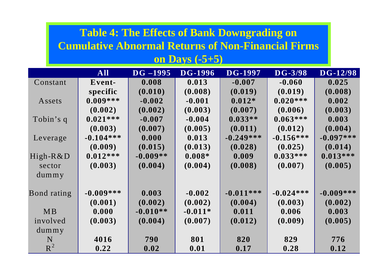#### **Table 4: The Effects of Bank Downgrading on Cumulative Abnormal Returns of Non-Financial Firms on Days (-5+5)**

|                    | <b>All</b>  | $DG -1995$ | <b>DG-1996</b> | <b>DG-1997</b> | $DG-3/98$   | $DG - 12/98$ |
|--------------------|-------------|------------|----------------|----------------|-------------|--------------|
| Constant           | Event-      | 0.008      | 0.013          | $-0.007$       | $-0.060$    | 0.025        |
|                    | specific    | (0.010)    | (0.008)        | (0.019)        | (0.019)     | (0.008)      |
| Assets             | $0.009***$  | $-0.002$   | $-0.001$       | $0.012*$       | $0.020***$  | 0.002        |
|                    | (0.002)     | (0.002)    | (0.003)        | (0.007)        | (0.006)     | (0.003)      |
| Tobin's q          | $0.021***$  | $-0.007$   | $-0.004$       | $0.033**$      | $0.063***$  | 0.003        |
|                    | (0.003)     | (0.007)    | (0.005)        | (0.011)        | (0.012)     | (0.004)      |
| Leverage           | $-0.104***$ | 0.000      | 0.013          | $-0.249***$    | $-0.156***$ | $-0.097***$  |
|                    | (0.009)     | (0.015)    | (0.013)        | (0.028)        | (0.025)     | (0.014)      |
| $High-R&D$         | $0.012***$  | $-0.009**$ | $0.008*$       | 0.009          | $0.033***$  | $0.013***$   |
| sector             | (0.003)     | (0.004)    | (0.004)        | (0.008)        | (0.007)     | (0.005)      |
| $d$ ummy           |             |            |                |                |             |              |
|                    |             |            |                |                |             |              |
| <b>Bond rating</b> | $-0.009***$ | 0.003      | $-0.002$       | $-0.011***$    | $-0.024***$ | $-0.009***$  |
|                    | (0.001)     | (0.002)    | (0.002)        | (0.004)        | (0.003)     | (0.002)      |
| <b>MB</b>          | 0.000       | $-0.010**$ | $-0.011*$      | 0.011          | 0.006       | 0.003        |
| involved           | (0.003)     | (0.004)    | (0.007)        | (0.012)        | (0.009)     | (0.005)      |
| $d$ ummy           |             |            |                |                |             |              |
| N                  | 4016        | 790        | 801            | 820            | 829         | 776          |
| $R^2$              | 0.22        | 0.02       | 0.01           | 0.17           | 0.28        | 0.12         |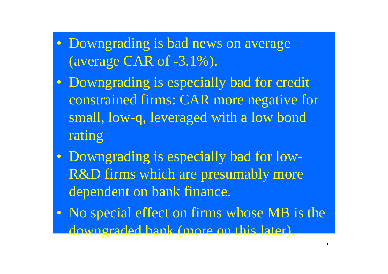- Downgrading is bad news on average (average CAR of  $-3.1\%$ ).
- Downgrading is especially bad for credit constrained firms: CAR more negative for small, low-q, leveraged with a low bond rating
- Downgrading is especially bad for low-R&D firms which are presumably more dependent on bank finance.
- No special effect on firms whose MB is the downgraded bank (more on this later).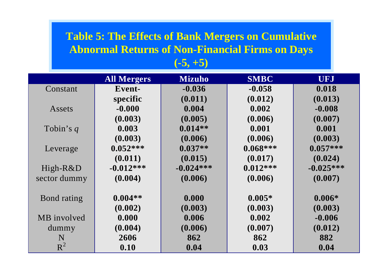#### **Table 5: The Effects of Bank Mergers on Cumulative Abnormal Returns of Non-Financial Firms on Days (-5, +5)**

|              | <b>All Mergers</b> | <b>Mizuho</b> | <b>SMBC</b> | <b>UFJ</b>  |
|--------------|--------------------|---------------|-------------|-------------|
| Constant     | Event-             | $-0.036$      | $-0.058$    | 0.018       |
|              | specific           | (0.011)       | (0.012)     | (0.013)     |
| Assets       | $-0.000$           | 0.004         | 0.002       | $-0.008$    |
|              | (0.003)            | (0.005)       | (0.006)     | (0.007)     |
| Tobin's $q$  | 0.003              | $0.014**$     | 0.001       | 0.001       |
|              | (0.003)            | (0.006)       | (0.006)     | (0.003)     |
| Leverage     | $0.052***$         | $0.037**$     | $0.068***$  | $0.057***$  |
|              | (0.011)            | (0.015)       | (0.017)     | (0.024)     |
| $High-R&D$   | $-0.012***$        | $-0.024***$   | $0.012***$  | $-0.025***$ |
| sector dummy | (0.004)            | (0.006)       | (0.006)     | (0.007)     |
| Bond rating  | $0.004**$          | 0.000         | $0.005*$    | $0.006*$    |
|              | (0.002)            | (0.003)       | (0.003)     | (0.003)     |
| MB involved  | 0.000              | 0.006         | 0.002       | $-0.006$    |
| dummy        | (0.004)            | (0.006)       | (0.007)     | (0.012)     |
| N            | 2606               | 862           | 862         | 882         |
| $R^2$        | 0.10               | 0.04          | 0.03        | 0.04        |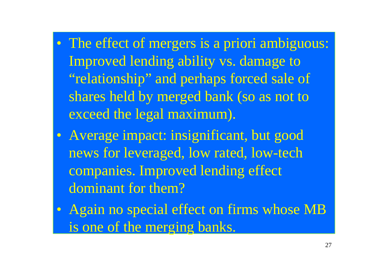- The effect of mergers is a priori ambiguous: Improved lending ability vs. damage to "relationship" and perhaps forced sale of shares held by merged bank (so as not to exceed the legal maximum).
- Average impact: insignificant, but good news for leveraged, low rated, low-tech companies. Improved lending effect dominant for them?
- Again no special effect on firms whose MB is one of the merging banks.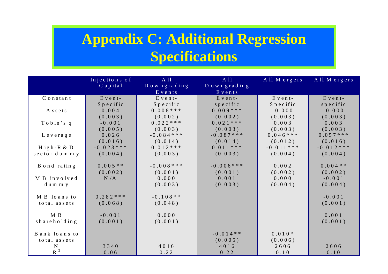### **Appendix C: Additional Regression Specifications**

|               | Injections of | A 11          | A 11             | All Mergers   | All Mergers      |
|---------------|---------------|---------------|------------------|---------------|------------------|
|               | $C$ apital    | Downgrading   | Downgrading      |               |                  |
|               |               | Events        | Events           |               |                  |
| Constant      | $E$ v e n t - | $E$ v e n t - | $E$ v e n t -    | $E$ v e n t - | $E$ v e n t -    |
|               | Specific      | Specific      | $s$ p e c if i c | Specific      | $s$ p e c if i c |
| Assets        | 0.004         | $0.008$ ***   | $0.009$ ***      | $-0.000$      | $-0.000$         |
|               | (0.003)       | (0.002)       | (0.002)          | (0.003)       | (0.003)          |
| Tobin's q     | $-0.001$      | $0.022$ ***   | $0.021$ ***      | 0.003         | 0.003            |
|               | (0.005)       | (0.003)       | (0.003)          | (0.003)       | (0.003)          |
| Leverage      | 0.026         | $-0.084$ ***  | $-0.087$ ***     | $0.046$ ***   | $0.057$ ***      |
|               | (0.016)       | (0.014)       | (0.014)          | (0.012)       | (0.016)          |
| H igh-R $&D$  | $-0.023$ ***  | $0.012$ ***   | $0.011$ ***      | $-0.011$ ***  | $-0.012$ ***     |
| sector dummy  | (0.004)       | (0.003)       | (0.003)          | (0.004)       | (0.004)          |
|               |               |               |                  |               |                  |
| B ond rating  | $0.005**$     | $-0.008$ ***  | $-0.006$ ***     | 0.002         | $0.004**$        |
|               | (0.002)       | (0.001)       | (0.001)          | (0.002)       | (0.002)          |
| M B involved  | N/A           | 0.000         | 0.001            | 0.000         | $-0.001$         |
| $d$ ummy      |               | (0.003)       | (0.003)          | (0.004)       | (0.004)          |
|               |               |               |                  |               |                  |
| M B loans to  | $0.282***$    | $-0.108**$    |                  |               | $-0.001$         |
| to tal assets | (0.068)       | (0.048)       |                  |               | (0.001)          |
|               |               |               |                  |               |                  |
| M B           | $-0.001$      | 0.000         |                  |               | 0.001            |
| shareholding  | (0.001)       | (0.001)       |                  |               | (0.001)          |
|               |               |               |                  |               |                  |
| Bank loans to |               |               | $-0.014**$       | $0.010*$      |                  |
| to tal assets |               |               | (0.005)          | (0.006)       |                  |
| $\mathbf N$   | 3340          | 4016          | 4016             | 2606          | 2606             |
| $R^2$         | 0.06          | 0.22          | 0.22             | 0.10          | 0.10             |
|               |               |               |                  |               |                  |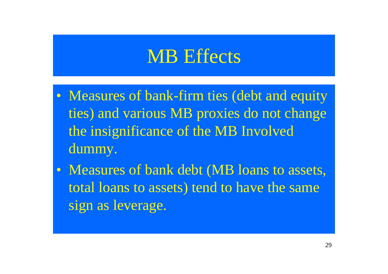## MB Effects

- Measures of bank-firm ties (debt and equity ties) and various MB proxies do not change the insignificance of the MB Involved dummy.
- Measures of bank debt (MB loans to assets, total loans to assets) tend to have the same sign as leverage.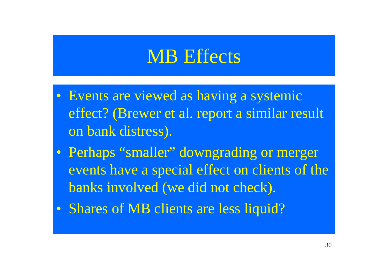## MB Effects

- Events are viewed as having a systemic effect? (Brewer et al. report a similar result on bank distress).
- Perhaps "smaller" downgrading or merger events have a special effect on clients of the banks involved (we did not check).
- Shares of MB clients are less liquid?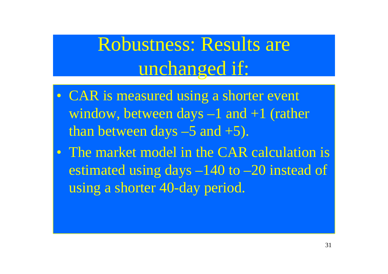# Robustness: Results are unchanged if:

- CAR is measured using a shorter event window, between days  $-1$  and  $+1$  (rather than between days  $-5$  and  $+5$ ).
- The market model in the CAR calculation is estimated using days  $-140$  to  $-20$  instead of using a shorter 40-day period.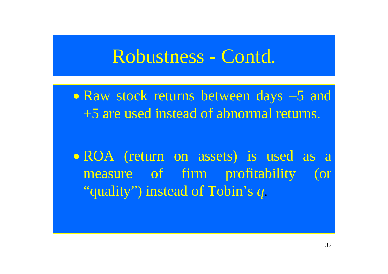### Robustness - Contd.

• Raw stock returns between days –5 and +5 are used instead of abnormal returns.

• ROA (return on assets) is used as a measure of firm profitability (or "quality") instead of Tobin's *q*.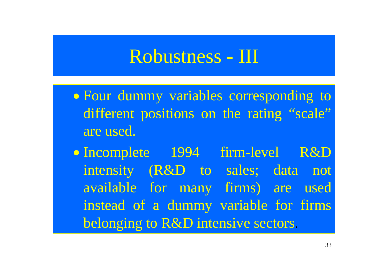## Robustness - III

- Four dummy variables corresponding to different positions on the rating "scale" are used.
- Incomplete 1994 firm-level R&D intensity (R&D to sales; data not available for many firms) are used instead of a dummy variable for firms belonging to R&D intensive sectors.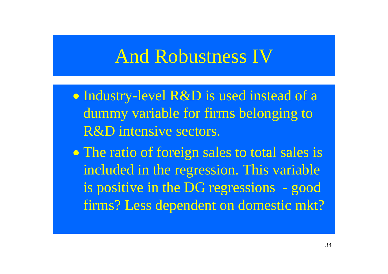## And Robustness IV

• Industry-level R&D is used instead of a dummy variable for firms belonging to R&D intensive sectors.

• The ratio of foreign sales to total sales is included in the regression. This variable is positive in the DG regressions - good firms? Less dependent on domestic mkt?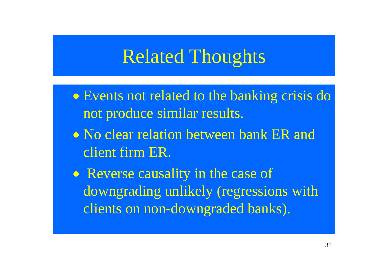## Related Thoughts

- Events not related to the banking crisis do not produce similar results.
- No clear relation between bank ER and client firm ER.
- Reverse causality in the case of downgrading unlikely (regressions with clients on non-downgraded banks).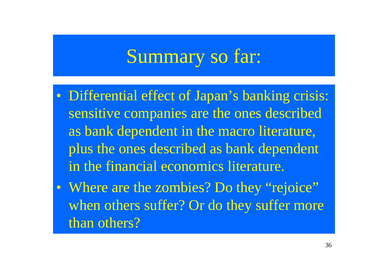## Summary so far:

- Differential effect of Japan's banking crisis: sensitive companies are the ones described as bank dependent in the macro literature, plus the ones described as bank dependent in the financial economics literature.
- Where are the zombies? Do they "rejoice" when others suffer? Or do they suffer more than others?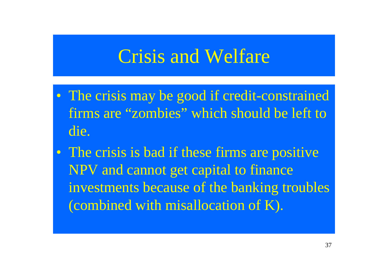## Crisis and Welfare

• The crisis may be good if credit-constrained firms are "zombies" which should be left to die.

• The crisis is bad if these firms are positive NPV and cannot get capital to finance investments because of the banking troubles (combined with misallocation of K).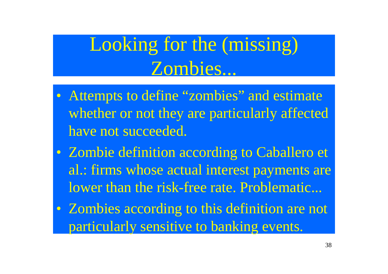# Looking for the (missing) Zombies...

- Attempts to define "zombies" and estimate whether or not they are particularly affected have not succeeded.
- Zombie definition according to Caballero et al.: firms whose actual interest payments are lower than the risk-free rate. Problematic...
- Zombies according to this definition are not particularly sensitive to banking events.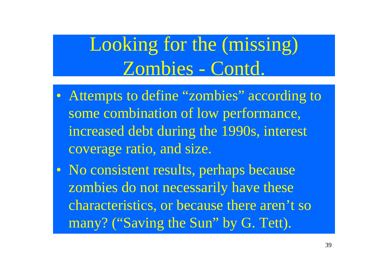# Looking for the (missing) Zombies - Contd.

- Attempts to define "zombies" according to some combination of low performance, increased debt during the 1990s, interest coverage ratio, and size.
- No consistent results, perhaps because zombies do not necessarily have these characteristics, or because there aren't so many? ("Saving the Sun" by G. Tett).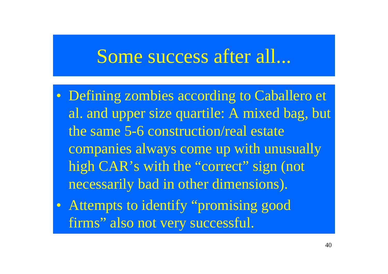## Some success after all...

- Defining zombies according to Caballero et al. and upper size quartile: A mixed bag, but the same 5-6 construction/real estate companies always come up with unusually high CAR's with the "correct" sign (not necessarily bad in other dimensions).
- Attempts to identify "promising good firms" also not very successful.